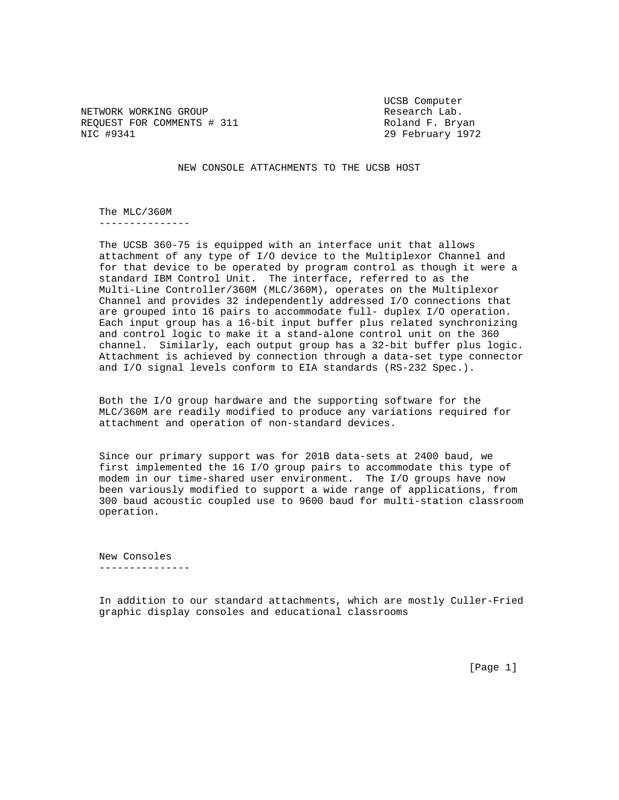NETWORK WORKING GROUP **Research Lab.** REQUEST FOR COMMENTS # 311 Roland F. Bryan NIC #9341 29 February 1972

UCSB Computer

NEW CONSOLE ATTACHMENTS TO THE UCSB HOST

 The MLC/360M ---------------

 The UCSB 360-75 is equipped with an interface unit that allows attachment of any type of I/O device to the Multiplexor Channel and for that device to be operated by program control as though it were a standard IBM Control Unit. The interface, referred to as the Multi-Line Controller/360M (MLC/360M), operates on the Multiplexor Channel and provides 32 independently addressed I/O connections that are grouped into 16 pairs to accommodate full- duplex I/O operation. Each input group has a 16-bit input buffer plus related synchronizing and control logic to make it a stand-alone control unit on the 360 channel. Similarly, each output group has a 32-bit buffer plus logic. Attachment is achieved by connection through a data-set type connector and I/O signal levels conform to EIA standards (RS-232 Spec.).

 Both the I/O group hardware and the supporting software for the MLC/360M are readily modified to produce any variations required for attachment and operation of non-standard devices.

 Since our primary support was for 201B data-sets at 2400 baud, we first implemented the 16 I/O group pairs to accommodate this type of modem in our time-shared user environment. The I/O groups have now been variously modified to support a wide range of applications, from 300 baud acoustic coupled use to 9600 baud for multi-station classroom operation.

 New Consoles ---------------

 In addition to our standard attachments, which are mostly Culler-Fried graphic display consoles and educational classrooms

[Page 1]